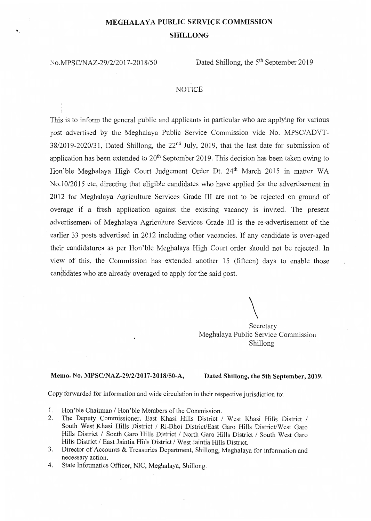## **MEGHALAYA PUBLIC SERVICE COMMISSION SHILLONG**

No.MPSC/NAZ-29/2/2017-2018/50 Dated Shillong, the 5<sup>th</sup> September 2019

## **NOTICE**

This is to inform the general public and applicants in particular who are applying for various post advertised by the Meghalaya Public Service Commission vide No. MPSC/ADVT- $38/2019-2020/31$ , Dated Shillong, the  $22<sup>nd</sup>$  July, 2019, that the last date for submission of application has been extended to  $20<sup>th</sup>$  September 2019. This decision has been taken owing to Hon'ble Meghalaya High Court Judgement Order Dt. 24<sup>th</sup> March 2015 in matter WA No.10/2015 etc, directing that eligible candidates who have applied for the advertisement in 2012 for Meghalaya Agriculture Services Grade III are not to be rejected on ground of overage if a fresh application against the existing vacancy is invited. The present advertisement of Meghalaya Agriculture Services Grade III is the re-advertisement of the earlier 33 posts advertised in 2012 including other vacancies. If any candidate is over-aged their candidatures as per Hon'ble Meghalaya High Court order should not be rejected. In view of this, the Commission has extended another 15 (fifteen) days to enable those candidates who are already overaged to apply for the said post.

 $\setminus$ 

Secretary Meghalaya Public Service Commission Shillong

## **Memo.** No. **MPSC/NAZ-29/2/2017-2018/50-A, Dated Shillong, the 5th September, 2019.**

Copy forwarded for information and wide circulation in their respective jurisdiction to:

- 1. Hon'ble Chairman *I* Hon'ble Members of the Commission.
- 2. The Deputy Commissioner, East Khasi Hills District *I* West Khasi Hills District *I*  South West Khasi Hills District *I* Ri-Bhoi District/East Garo Hills District/West Garo Hills District *I* South Garo Hills District *I* North Garo Hills District *I* South West Garo Hills District *I* East Jaintia Hills District *I* West Jaintia Hills District.
- 3. Director of Accounts & Treasuries Department, Shillong, Meghalaya for information and necessary action.
- 4. State Informatics Officer, NIC, Meghalaya, Shillong.